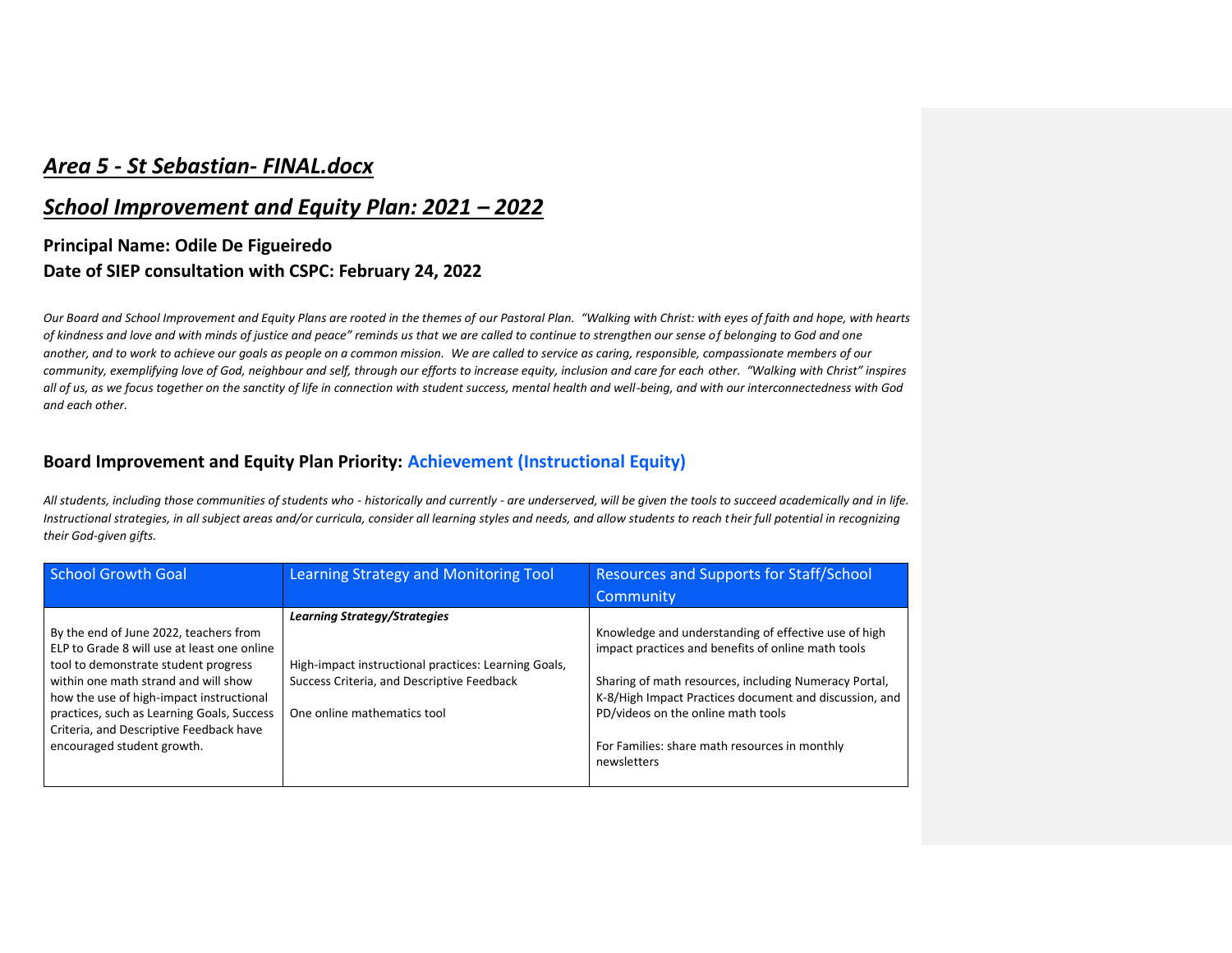# *Area 5 - St Sebastian- FINAL.docx*

#### *School Improvement and Equity Plan: 2021 – 2022*

### **Principal Name: Odile De Figueiredo Date of SIEP consultation with CSPC: February 24, 2022**

*Our Board and School Improvement and Equity Plans are rooted in the themes of our Pastoral Plan. "Walking with Christ: with eyes of faith and hope, with hearts of kindness and love and with minds of justice and peace" reminds us that we are called to continue to strengthen our sense of belonging to God and one another, and to work to achieve our goals as people on a common mission. We are called to service as caring, responsible, compassionate members of our community, exemplifying love of God, neighbour and self, through our efforts to increase equity, inclusion and care for each other. "Walking with Christ" inspires all of us, as we focus together on the sanctity of life in connection with student success, mental health and well-being, and with our interconnectedness with God and each other.*

#### **Board Improvement and Equity Plan Priority: Achievement (Instructional Equity)**

*All students, including those communities of students who - historically and currently - are underserved, will be given the tools to succeed academically and in life. Instructional strategies, in all subject areas and/or curricula, consider all learning styles and needs, and allow students to reach their full potential in recognizing their God-given gifts.*

| <b>School Growth Goal</b>                                                                                                                                                                                                                                                                                                                | <b>Learning Strategy and Monitoring Tool</b>                                                                                                                             | <b>Resources and Supports for Staff/School</b>                                                                                                                                                                                                                                                                                      |
|------------------------------------------------------------------------------------------------------------------------------------------------------------------------------------------------------------------------------------------------------------------------------------------------------------------------------------------|--------------------------------------------------------------------------------------------------------------------------------------------------------------------------|-------------------------------------------------------------------------------------------------------------------------------------------------------------------------------------------------------------------------------------------------------------------------------------------------------------------------------------|
|                                                                                                                                                                                                                                                                                                                                          |                                                                                                                                                                          | Community                                                                                                                                                                                                                                                                                                                           |
| By the end of June 2022, teachers from<br>ELP to Grade 8 will use at least one online<br>tool to demonstrate student progress<br>within one math strand and will show<br>how the use of high-impact instructional<br>practices, such as Learning Goals, Success<br>Criteria, and Descriptive Feedback have<br>encouraged student growth. | <b>Learning Strategy/Strategies</b><br>High-impact instructional practices: Learning Goals,<br>Success Criteria, and Descriptive Feedback<br>One online mathematics tool | Knowledge and understanding of effective use of high<br>impact practices and benefits of online math tools<br>Sharing of math resources, including Numeracy Portal,<br>K-8/High Impact Practices document and discussion, and<br>PD/videos on the online math tools<br>For Families: share math resources in monthly<br>newsletters |
|                                                                                                                                                                                                                                                                                                                                          |                                                                                                                                                                          |                                                                                                                                                                                                                                                                                                                                     |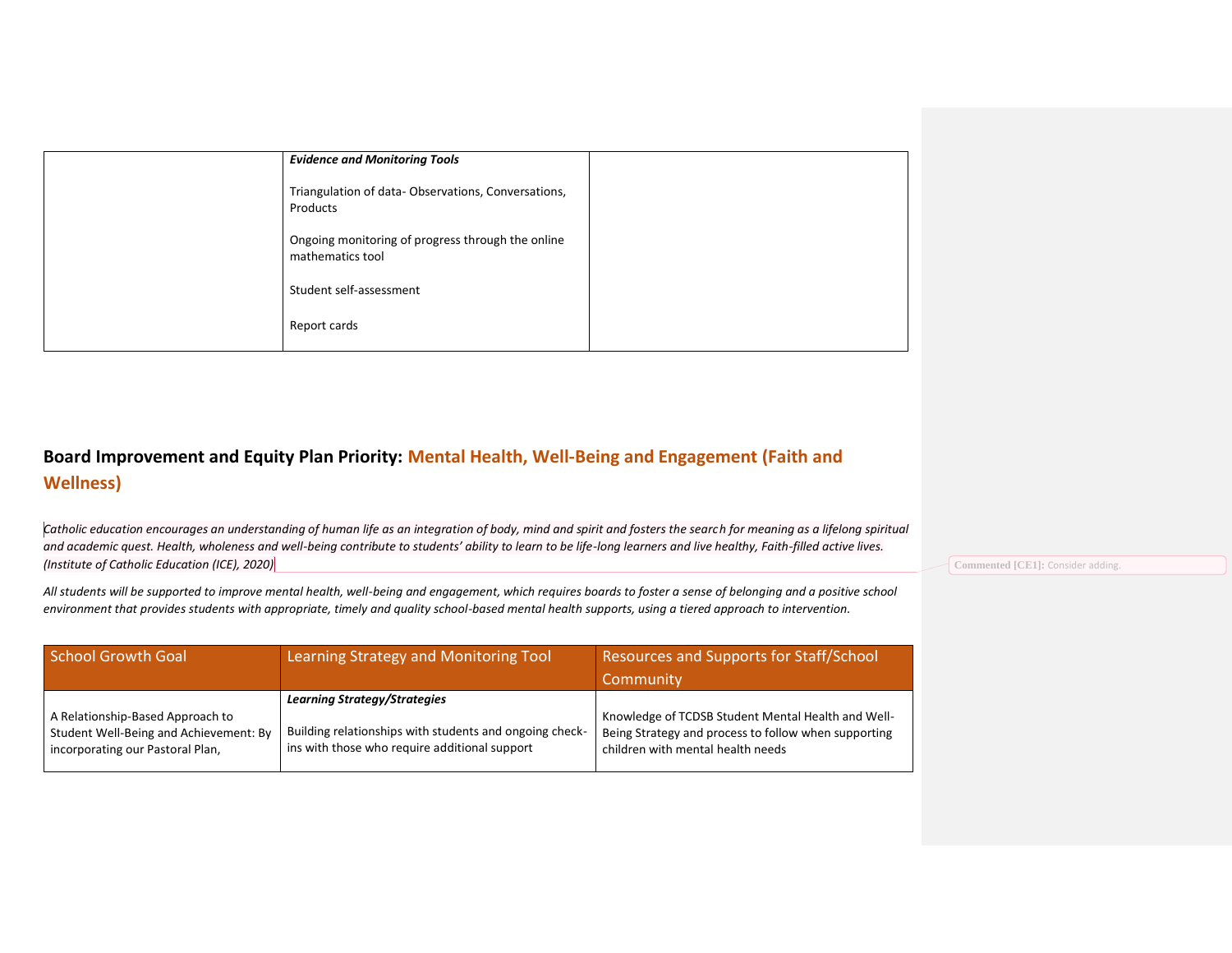| <b>Evidence and Monitoring Tools</b>                                  |  |
|-----------------------------------------------------------------------|--|
| Triangulation of data-Observations, Conversations,<br>Products        |  |
| Ongoing monitoring of progress through the online<br>mathematics tool |  |
| Student self-assessment                                               |  |
| Report cards                                                          |  |

## **Board Improvement and Equity Plan Priority: Mental Health, Well-Being and Engagement (Faith and Wellness)**

Catholic education encourages an understanding of human life as an integration of body, mind and spirit and fosters the search for meaning as a lifelong spiritual *and academic quest. Health, wholeness and well-being contribute to students' ability to learn to be life-long learners and live healthy, Faith-filled active lives. (Institute of Catholic Education (ICE), 2020)*

*All students will be supported to improve mental health, well-being and engagement, which requires boards to foster a sense of belonging and a positive school environment that provides students with appropriate, timely and quality school-based mental health supports, using a tiered approach to intervention.*

| <b>School Growth Goal</b>              | Learning Strategy and Monitoring Tool                   | Resources and Supports for Staff/School<br>Community |
|----------------------------------------|---------------------------------------------------------|------------------------------------------------------|
| A Relationship-Based Approach to       | <b>Learning Strategy/Strategies</b>                     | Knowledge of TCDSB Student Mental Health and Well-   |
| Student Well-Being and Achievement: By | Building relationships with students and ongoing check- | Being Strategy and process to follow when supporting |
| incorporating our Pastoral Plan,       | ins with those who require additional support           | children with mental health needs                    |

**Commented [CE1]:** Consider adding.